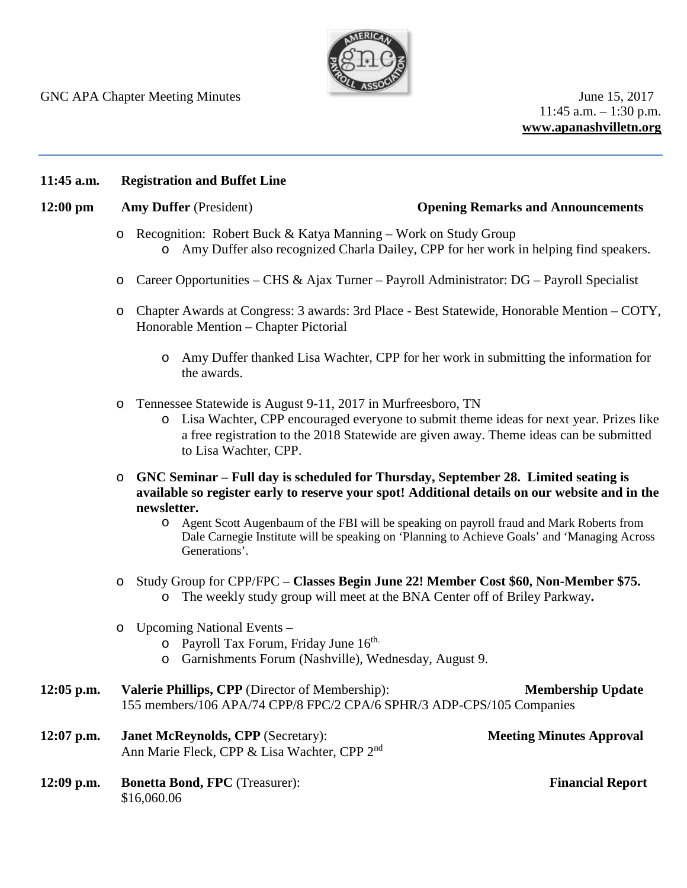

GNC APA Chapter Meeting Minutes **June 15, 2017** 

 $11:45$  a.m.  $-1:30$  p.m. **www.apanashvilletn.org**

## **11:45 a.m. Registration and Buffet Line**

## **12:00 pm Amy Duffer** (President) **Opening Remarks and Announcements**

- o Recognition: Robert Buck & Katya Manning Work on Study Group o Amy Duffer also recognized Charla Dailey, CPP for her work in helping find speakers.
- o Career Opportunities CHS & Ajax Turner Payroll Administrator: DG Payroll Specialist
- o Chapter Awards at Congress: 3 awards: 3rd Place Best Statewide, Honorable Mention COTY, Honorable Mention – Chapter Pictorial
	- o Amy Duffer thanked Lisa Wachter, CPP for her work in submitting the information for the awards.
- o Tennessee Statewide is August 9-11, 2017 in Murfreesboro, TN
	- o Lisa Wachter, CPP encouraged everyone to submit theme ideas for next year. Prizes like a free registration to the 2018 Statewide are given away. Theme ideas can be submitted to Lisa Wachter, CPP.
- o **GNC Seminar – Full day is scheduled for Thursday, September 28. Limited seating is available so register early to reserve your spot! Additional details on our website and in the newsletter.**
	- o Agent Scott Augenbaum of the FBI will be speaking on payroll fraud and Mark Roberts from Dale Carnegie Institute will be speaking on 'Planning to Achieve Goals' and 'Managing Across Generations'.
- o Study Group for CPP/FPC **Classes Begin June 22! Member Cost \$60, Non-Member \$75.** o The weekly study group will meet at the BNA Center off of Briley Parkway**.**
- o Upcoming National Events
	- $\circ$  Payroll Tax Forum, Friday June 16<sup>th.</sup>
	- o Garnishments Forum (Nashville), Wednesday, August 9.
- **12:05 p.m. Valerie Phillips, CPP** (Director of Membership): **Membership Update** 155 members/106 APA/74 CPP/8 FPC/2 CPA/6 SPHR/3 ADP-CPS/105 Companies
- **12:07 p.m. Janet McReynolds, CPP** (Secretary): **Meeting Minutes Approval** Ann Marie Fleck, CPP & Lisa Wachter, CPP 2<sup>nd</sup>
- **12:09 p.m. Bonetta Bond, FPC** (Treasurer): **Financial Report** \$16,060.06